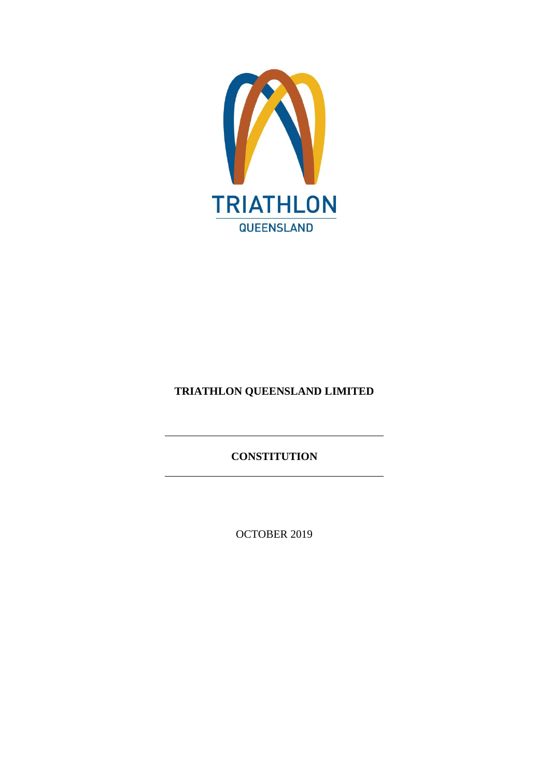

# **TRIATHLON QUEENSLAND LIMITED**

**CONSTITUTION**

OCTOBER 2019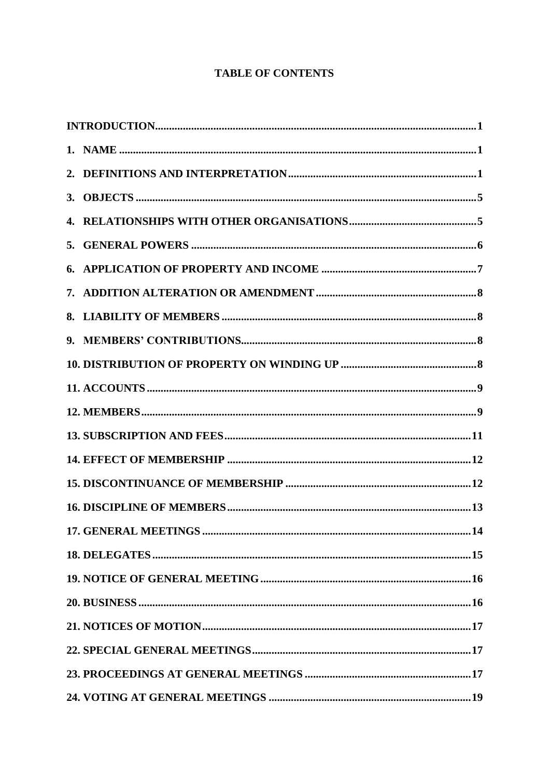# **TABLE OF CONTENTS**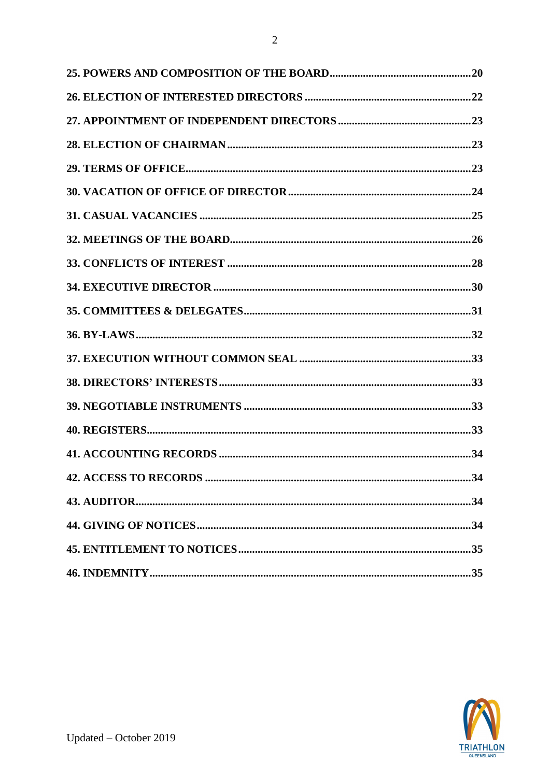

 $\overline{c}$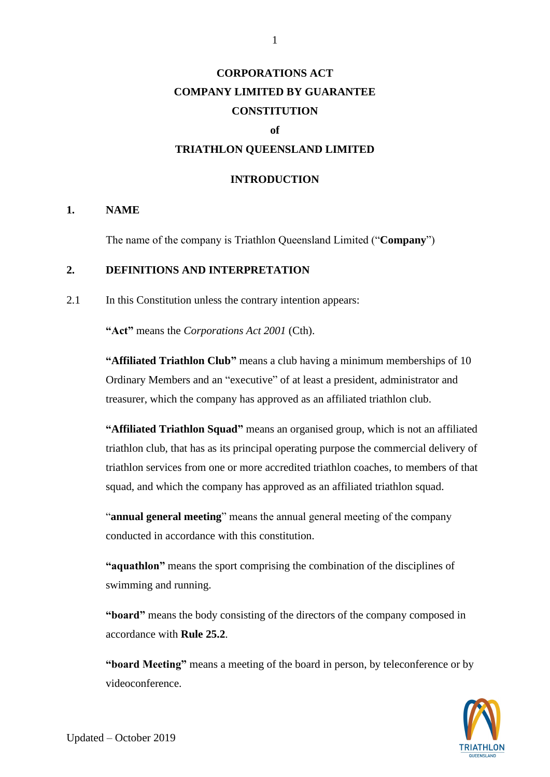# **CORPORATIONS ACT COMPANY LIMITED BY GUARANTEE CONSTITUTION**

#### **of**

## **TRIATHLON QUEENSLAND LIMITED**

#### **INTRODUCTION**

#### **1. NAME**

The name of the company is Triathlon Queensland Limited ("**Company**")

# **2. DEFINITIONS AND INTERPRETATION**

2.1 In this Constitution unless the contrary intention appears:

**"Act"** means the *Corporations Act 2001* (Cth).

**"Affiliated Triathlon Club"** means a club having a minimum memberships of 10 Ordinary Members and an "executive" of at least a president, administrator and treasurer, which the company has approved as an affiliated triathlon club.

**"Affiliated Triathlon Squad"** means an organised group, which is not an affiliated triathlon club, that has as its principal operating purpose the commercial delivery of triathlon services from one or more accredited triathlon coaches, to members of that squad, and which the company has approved as an affiliated triathlon squad.

"**annual general meeting**" means the annual general meeting of the company conducted in accordance with this constitution.

**"aquathlon"** means the sport comprising the combination of the disciplines of swimming and running.

**"board"** means the body consisting of the directors of the company composed in accordance with **Rule [25.2](#page-23-0)**.

**"board Meeting"** means a meeting of the board in person, by teleconference or by videoconference.

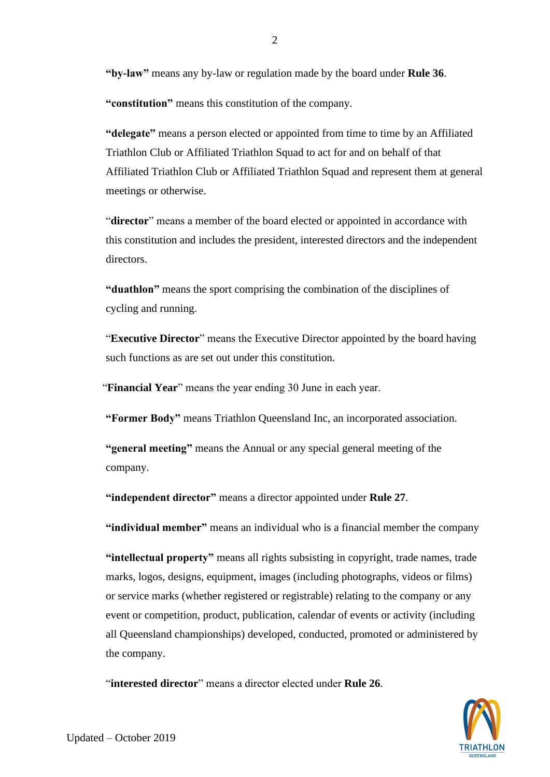**"by-law"** means any by-law or regulation made by the board under **Rule [36](#page-34-0)**.

**"constitution"** means this constitution of the company.

**"delegate"** means a person elected or appointed from time to time by an Affiliated Triathlon Club or Affiliated Triathlon Squad to act for and on behalf of that Affiliated Triathlon Club or Affiliated Triathlon Squad and represent them at general meetings or otherwise.

"director" means a member of the board elected or appointed in accordance with this constitution and includes the president, interested directors and the independent directors.

**"duathlon"** means the sport comprising the combination of the disciplines of cycling and running.

"**Executive Director**" means the Executive Director appointed by the board having such functions as are set out under this constitution.

"**Financial Year**" means the year ending 30 June in each year.

**"Former Body"** means Triathlon Queensland Inc, an incorporated association.

**"general meeting"** means the Annual or any special general meeting of the company.

**"independent director"** means a director appointed under **Rule 27**.

**"individual member"** means an individual who is a financial member the company

**"intellectual property"** means all rights subsisting in copyright, trade names, trade marks, logos, designs, equipment, images (including photographs, videos or films) or service marks (whether registered or registrable) relating to the company or any event or competition, product, publication, calendar of events or activity (including all Queensland championships) developed, conducted, promoted or administered by the company.

"**interested director**" means a director elected under **Rule [26](#page-24-0)**.

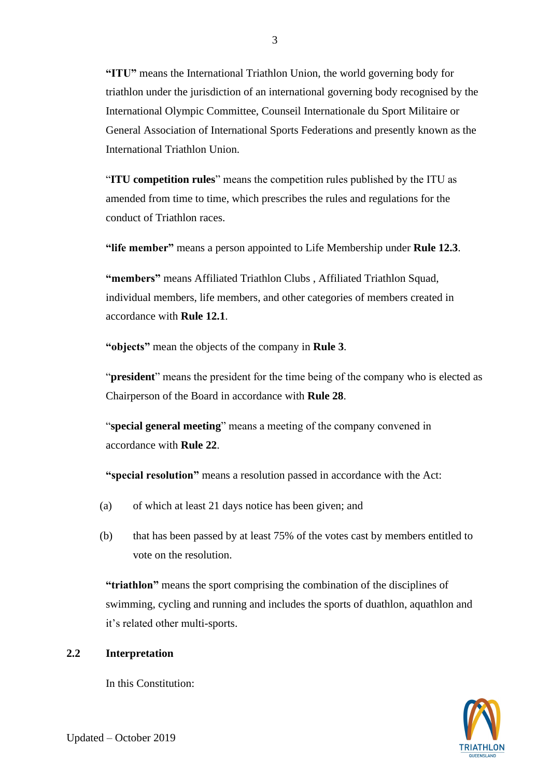**"ITU"** means the International Triathlon Union, the world governing body for triathlon under the jurisdiction of an international governing body recognised by the International Olympic Committee, Counseil Internationale du Sport Militaire or General Association of International Sports Federations and presently known as the International Triathlon Union.

"**ITU competition rules**" means the competition rules published by the ITU as amended from time to time, which prescribes the rules and regulations for the conduct of Triathlon races.

**"life member"** means a person appointed to Life Membership under **Rule 12.3**.

**"members"** means Affiliated Triathlon Clubs , Affiliated Triathlon Squad, individual members, life members, and other categories of members created in accordance with **Rule 12.1**.

**"objects"** mean the objects of the company in **Rule 3**.

"**president**" means the president for the time being of the company who is elected as Chairperson of the Board in accordance with **Rule [28](#page-25-0)**.

"**special general meeting**" means a meeting of the company convened in accordance with **Rule [22](#page-19-0)**.

**"special resolution"** means a resolution passed in accordance with the Act:

- (a) of which at least 21 days notice has been given; and
- (b) that has been passed by at least 75% of the votes cast by members entitled to vote on the resolution.

**"triathlon"** means the sport comprising the combination of the disciplines of swimming, cycling and running and includes the sports of duathlon, aquathlon and it's related other multi-sports.

# **2.2 Interpretation**

In this Constitution:

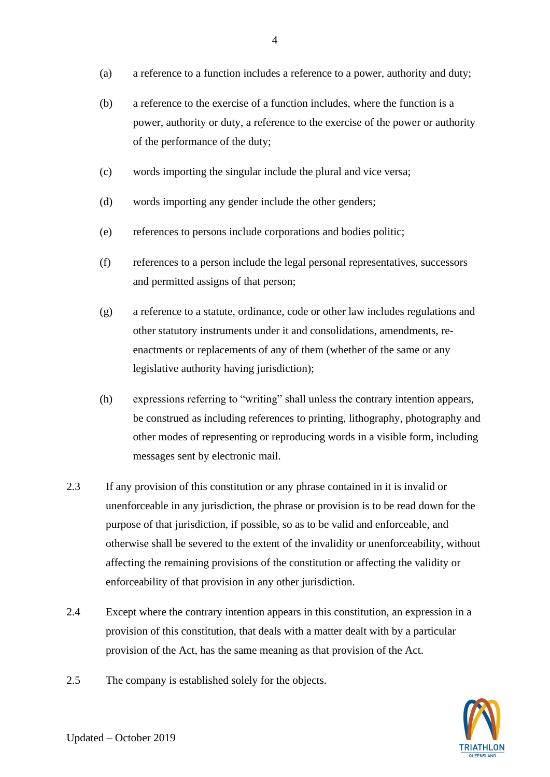(a) a reference to a function includes a reference to a power, authority and duty;

4

- (b) a reference to the exercise of a function includes, where the function is a power, authority or duty, a reference to the exercise of the power or authority of the performance of the duty;
- (c) words importing the singular include the plural and vice versa;
- (d) words importing any gender include the other genders;
- (e) references to persons include corporations and bodies politic;
- (f) references to a person include the legal personal representatives, successors and permitted assigns of that person;
- (g) a reference to a statute, ordinance, code or other law includes regulations and other statutory instruments under it and consolidations, amendments, reenactments or replacements of any of them (whether of the same or any legislative authority having jurisdiction);
- (h) expressions referring to "writing" shall unless the contrary intention appears, be construed as including references to printing, lithography, photography and other modes of representing or reproducing words in a visible form, including messages sent by electronic mail.
- 2.3 If any provision of this constitution or any phrase contained in it is invalid or unenforceable in any jurisdiction, the phrase or provision is to be read down for the purpose of that jurisdiction, if possible, so as to be valid and enforceable, and otherwise shall be severed to the extent of the invalidity or unenforceability, without affecting the remaining provisions of the constitution or affecting the validity or enforceability of that provision in any other jurisdiction.
- 2.4 Except where the contrary intention appears in this constitution, an expression in a provision of this constitution, that deals with a matter dealt with by a particular provision of the Act, has the same meaning as that provision of the Act.
- 2.5 The company is established solely for the objects.

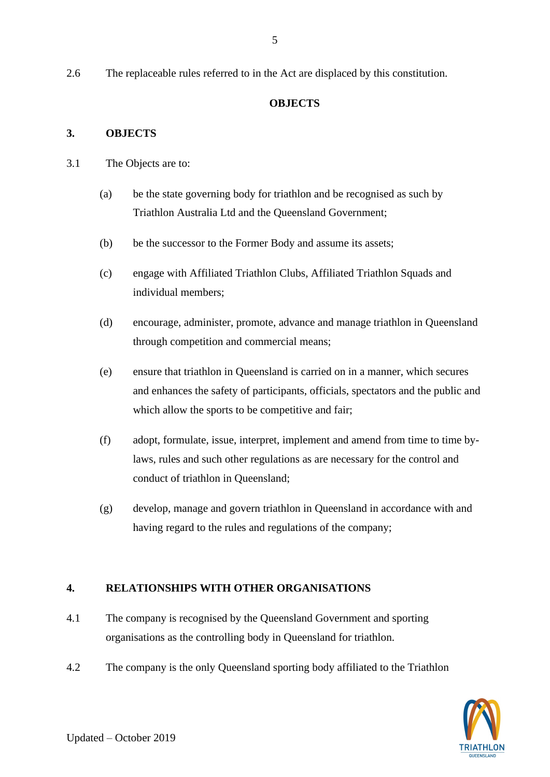## **OBJECTS**

## **3. OBJECTS**

- 3.1 The Objects are to:
	- (a) be the state governing body for triathlon and be recognised as such by Triathlon Australia Ltd and the Queensland Government;
	- (b) be the successor to the Former Body and assume its assets;
	- (c) engage with Affiliated Triathlon Clubs, Affiliated Triathlon Squads and individual members;
	- (d) encourage, administer, promote, advance and manage triathlon in Queensland through competition and commercial means;
	- (e) ensure that triathlon in Queensland is carried on in a manner, which secures and enhances the safety of participants, officials, spectators and the public and which allow the sports to be competitive and fair;
	- (f) adopt, formulate, issue, interpret, implement and amend from time to time bylaws, rules and such other regulations as are necessary for the control and conduct of triathlon in Queensland;
	- (g) develop, manage and govern triathlon in Queensland in accordance with and having regard to the rules and regulations of the company;

# **4. RELATIONSHIPS WITH OTHER ORGANISATIONS**

- 4.1 The company is recognised by the Queensland Government and sporting organisations as the controlling body in Queensland for triathlon.
- 4.2 The company is the only Queensland sporting body affiliated to the Triathlon

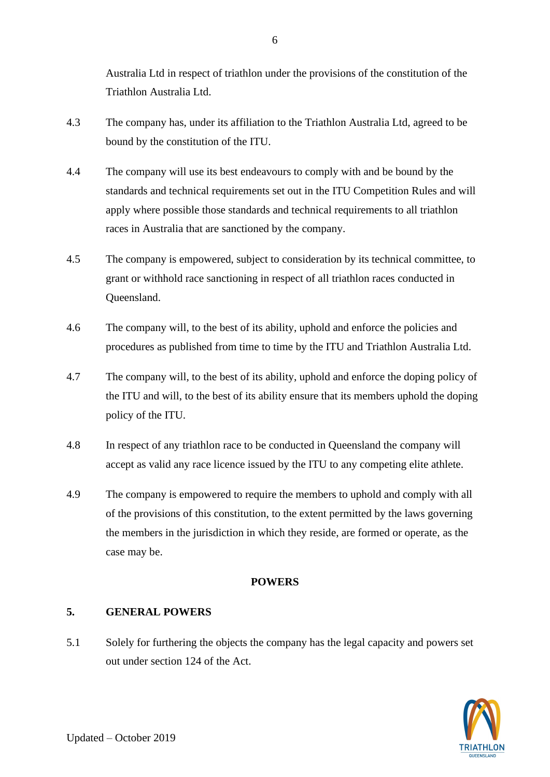Australia Ltd in respect of triathlon under the provisions of the constitution of the Triathlon Australia Ltd.

- 4.3 The company has, under its affiliation to the Triathlon Australia Ltd, agreed to be bound by the constitution of the ITU.
- 4.4 The company will use its best endeavours to comply with and be bound by the standards and technical requirements set out in the ITU Competition Rules and will apply where possible those standards and technical requirements to all triathlon races in Australia that are sanctioned by the company.
- 4.5 The company is empowered, subject to consideration by its technical committee, to grant or withhold race sanctioning in respect of all triathlon races conducted in Queensland.
- 4.6 The company will, to the best of its ability, uphold and enforce the policies and procedures as published from time to time by the ITU and Triathlon Australia Ltd.
- 4.7 The company will, to the best of its ability, uphold and enforce the doping policy of the ITU and will, to the best of its ability ensure that its members uphold the doping policy of the ITU.
- 4.8 In respect of any triathlon race to be conducted in Queensland the company will accept as valid any race licence issued by the ITU to any competing elite athlete.
- 4.9 The company is empowered to require the members to uphold and comply with all of the provisions of this constitution, to the extent permitted by the laws governing the members in the jurisdiction in which they reside, are formed or operate, as the case may be.

# **POWERS**

# **5. GENERAL POWERS**

5.1 Solely for furthering the objects the company has the legal capacity and powers set out under section 124 of the Act.



6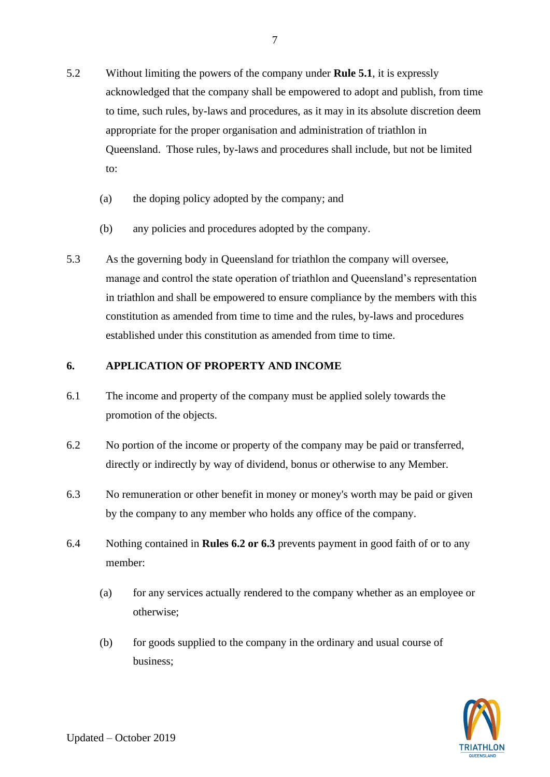- 5.2 Without limiting the powers of the company under **Rule 5.1**, it is expressly acknowledged that the company shall be empowered to adopt and publish, from time to time, such rules, by-laws and procedures, as it may in its absolute discretion deem appropriate for the proper organisation and administration of triathlon in Queensland. Those rules, by-laws and procedures shall include, but not be limited to:
	- (a) the doping policy adopted by the company; and
	- (b) any policies and procedures adopted by the company.
- 5.3 As the governing body in Queensland for triathlon the company will oversee, manage and control the state operation of triathlon and Queensland's representation in triathlon and shall be empowered to ensure compliance by the members with this constitution as amended from time to time and the rules, by-laws and procedures established under this constitution as amended from time to time.

# **6. APPLICATION OF PROPERTY AND INCOME**

- 6.1 The income and property of the company must be applied solely towards the promotion of the objects.
- 6.2 No portion of the income or property of the company may be paid or transferred, directly or indirectly by way of dividend, bonus or otherwise to any Member.
- 6.3 No remuneration or other benefit in money or money's worth may be paid or given by the company to any member who holds any office of the company.
- 6.4 Nothing contained in **Rules 6.2 or 6.3** prevents payment in good faith of or to any member:
	- (a) for any services actually rendered to the company whether as an employee or otherwise;
	- (b) for goods supplied to the company in the ordinary and usual course of business;

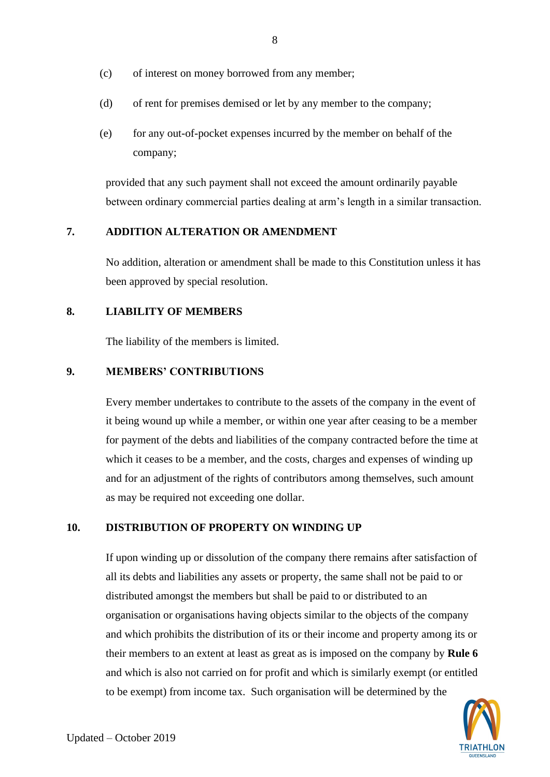- (c) of interest on money borrowed from any member;
- (d) of rent for premises demised or let by any member to the company;
- (e) for any out-of-pocket expenses incurred by the member on behalf of the company;

provided that any such payment shall not exceed the amount ordinarily payable between ordinary commercial parties dealing at arm's length in a similar transaction.

## **7. ADDITION ALTERATION OR AMENDMENT**

No addition, alteration or amendment shall be made to this Constitution unless it has been approved by special resolution.

## **8. LIABILITY OF MEMBERS**

The liability of the members is limited.

## **9. MEMBERS' CONTRIBUTIONS**

Every member undertakes to contribute to the assets of the company in the event of it being wound up while a member, or within one year after ceasing to be a member for payment of the debts and liabilities of the company contracted before the time at which it ceases to be a member, and the costs, charges and expenses of winding up and for an adjustment of the rights of contributors among themselves, such amount as may be required not exceeding one dollar.

## **10. DISTRIBUTION OF PROPERTY ON WINDING UP**

If upon winding up or dissolution of the company there remains after satisfaction of all its debts and liabilities any assets or property, the same shall not be paid to or distributed amongst the members but shall be paid to or distributed to an organisation or organisations having objects similar to the objects of the company and which prohibits the distribution of its or their income and property among its or their members to an extent at least as great as is imposed on the company by **Rule 6**  and which is also not carried on for profit and which is similarly exempt (or entitled to be exempt) from income tax. Such organisation will be determined by the

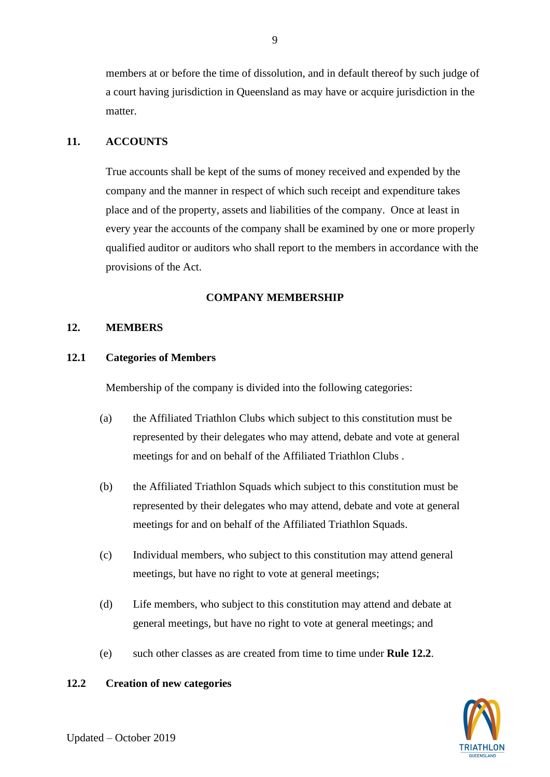members at or before the time of dissolution, and in default thereof by such judge of a court having jurisdiction in Queensland as may have or acquire jurisdiction in the matter.

## **11. ACCOUNTS**

True accounts shall be kept of the sums of money received and expended by the company and the manner in respect of which such receipt and expenditure takes place and of the property, assets and liabilities of the company. Once at least in every year the accounts of the company shall be examined by one or more properly qualified auditor or auditors who shall report to the members in accordance with the provisions of the Act.

## **COMPANY MEMBERSHIP**

## **12. MEMBERS**

#### **12.1 Categories of Members**

Membership of the company is divided into the following categories:

- (a) the Affiliated Triathlon Clubs which subject to this constitution must be represented by their delegates who may attend, debate and vote at general meetings for and on behalf of the Affiliated Triathlon Clubs .
- (b) the Affiliated Triathlon Squads which subject to this constitution must be represented by their delegates who may attend, debate and vote at general meetings for and on behalf of the Affiliated Triathlon Squads.
- (c) Individual members, who subject to this constitution may attend general meetings, but have no right to vote at general meetings;
- (d) Life members, who subject to this constitution may attend and debate at general meetings, but have no right to vote at general meetings; and
- (e) such other classes as are created from time to time under **Rule 12.2**.

## **12.2 Creation of new categories**

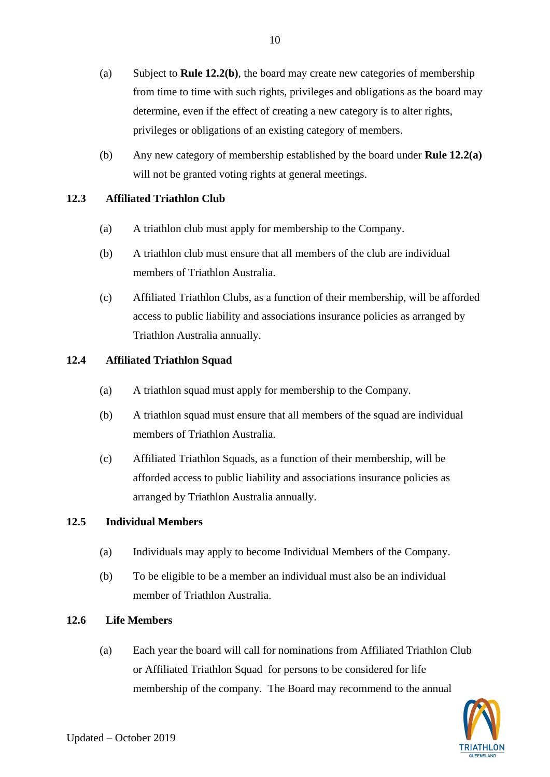- (a) Subject to **Rule 12.2(b)**, the board may create new categories of membership from time to time with such rights, privileges and obligations as the board may determine, even if the effect of creating a new category is to alter rights, privileges or obligations of an existing category of members.
- (b) Any new category of membership established by the board under **Rule 12.2(a)**  will not be granted voting rights at general meetings.

# **12.3 Affiliated Triathlon Club**

- (a) A triathlon club must apply for membership to the Company.
- (b) A triathlon club must ensure that all members of the club are individual members of Triathlon Australia.
- (c) Affiliated Triathlon Clubs, as a function of their membership, will be afforded access to public liability and associations insurance policies as arranged by Triathlon Australia annually.

# **12.4 Affiliated Triathlon Squad**

- (a) A triathlon squad must apply for membership to the Company.
- (b) A triathlon squad must ensure that all members of the squad are individual members of Triathlon Australia.
- (c) Affiliated Triathlon Squads, as a function of their membership, will be afforded access to public liability and associations insurance policies as arranged by Triathlon Australia annually.

# **12.5 Individual Members**

- (a) Individuals may apply to become Individual Members of the Company.
- (b) To be eligible to be a member an individual must also be an individual member of Triathlon Australia.

# **12.6 Life Members**

(a) Each year the board will call for nominations from Affiliated Triathlon Club or Affiliated Triathlon Squad for persons to be considered for life membership of the company. The Board may recommend to the annual

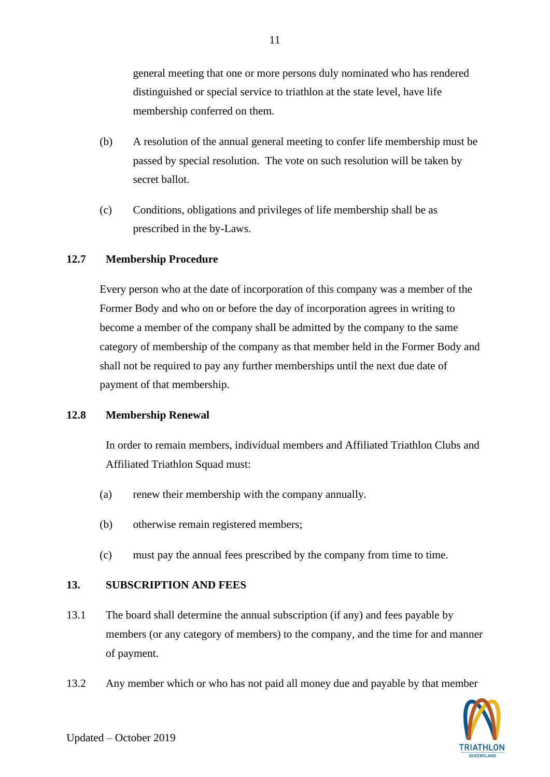general meeting that one or more persons duly nominated who has rendered distinguished or special service to triathlon at the state level, have life membership conferred on them.

- (b) A resolution of the annual general meeting to confer life membership must be passed by special resolution. The vote on such resolution will be taken by secret ballot.
- (c) Conditions, obligations and privileges of life membership shall be as prescribed in the by-Laws.

# **12.7 Membership Procedure**

Every person who at the date of incorporation of this company was a member of the Former Body and who on or before the day of incorporation agrees in writing to become a member of the company shall be admitted by the company to the same category of membership of the company as that member held in the Former Body and shall not be required to pay any further memberships until the next due date of payment of that membership.

# **12.8 Membership Renewal**

In order to remain members, individual members and Affiliated Triathlon Clubs and Affiliated Triathlon Squad must:

- (a) renew their membership with the company annually.
- (b) otherwise remain registered members;
- (c) must pay the annual fees prescribed by the company from time to time.

# **13. SUBSCRIPTION AND FEES**

- 13.1 The board shall determine the annual subscription (if any) and fees payable by members (or any category of members) to the company, and the time for and manner of payment.
- 13.2 Any member which or who has not paid all money due and payable by that member



11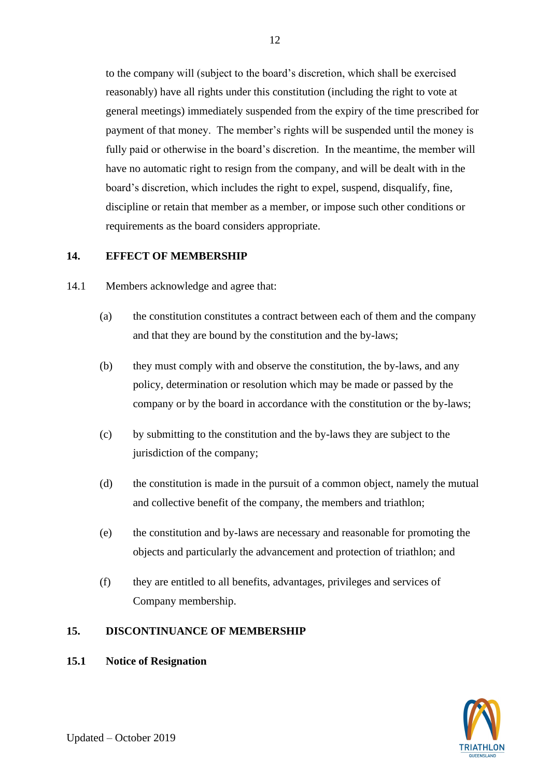to the company will (subject to the board's discretion, which shall be exercised reasonably) have all rights under this constitution (including the right to vote at general meetings) immediately suspended from the expiry of the time prescribed for payment of that money. The member's rights will be suspended until the money is fully paid or otherwise in the board's discretion. In the meantime, the member will have no automatic right to resign from the company, and will be dealt with in the board's discretion, which includes the right to expel, suspend, disqualify, fine, discipline or retain that member as a member, or impose such other conditions or requirements as the board considers appropriate.

#### **14. EFFECT OF MEMBERSHIP**

- 14.1 Members acknowledge and agree that:
	- (a) the constitution constitutes a contract between each of them and the company and that they are bound by the constitution and the by-laws;
	- (b) they must comply with and observe the constitution, the by-laws, and any policy, determination or resolution which may be made or passed by the company or by the board in accordance with the constitution or the by-laws;
	- (c) by submitting to the constitution and the by-laws they are subject to the jurisdiction of the company;
	- (d) the constitution is made in the pursuit of a common object, namely the mutual and collective benefit of the company, the members and triathlon;
	- (e) the constitution and by-laws are necessary and reasonable for promoting the objects and particularly the advancement and protection of triathlon; and
	- (f) they are entitled to all benefits, advantages, privileges and services of Company membership.

#### **15. DISCONTINUANCE OF MEMBERSHIP**

## **15.1 Notice of Resignation**

Updated – October 2019

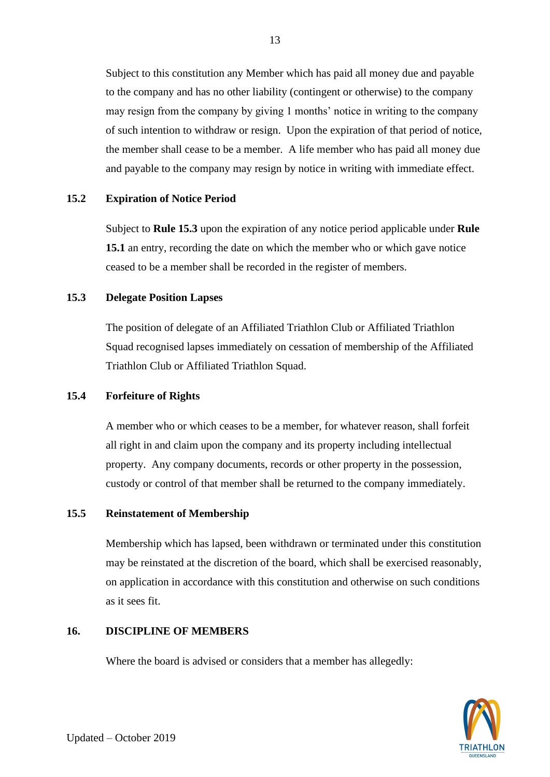Subject to this constitution any Member which has paid all money due and payable to the company and has no other liability (contingent or otherwise) to the company may resign from the company by giving 1 months' notice in writing to the company of such intention to withdraw or resign. Upon the expiration of that period of notice, the member shall cease to be a member. A life member who has paid all money due and payable to the company may resign by notice in writing with immediate effect.

## **15.2 Expiration of Notice Period**

Subject to **Rule 15.3** upon the expiration of any notice period applicable under **Rule 15.1** an entry, recording the date on which the member who or which gave notice ceased to be a member shall be recorded in the register of members.

#### **15.3 Delegate Position Lapses**

The position of delegate of an Affiliated Triathlon Club or Affiliated Triathlon Squad recognised lapses immediately on cessation of membership of the Affiliated Triathlon Club or Affiliated Triathlon Squad.

## **15.4 Forfeiture of Rights**

A member who or which ceases to be a member, for whatever reason, shall forfeit all right in and claim upon the company and its property including intellectual property. Any company documents, records or other property in the possession, custody or control of that member shall be returned to the company immediately.

#### **15.5 Reinstatement of Membership**

Membership which has lapsed, been withdrawn or terminated under this constitution may be reinstated at the discretion of the board, which shall be exercised reasonably, on application in accordance with this constitution and otherwise on such conditions as it sees fit.

#### **16. DISCIPLINE OF MEMBERS**

Where the board is advised or considers that a member has allegedly:



13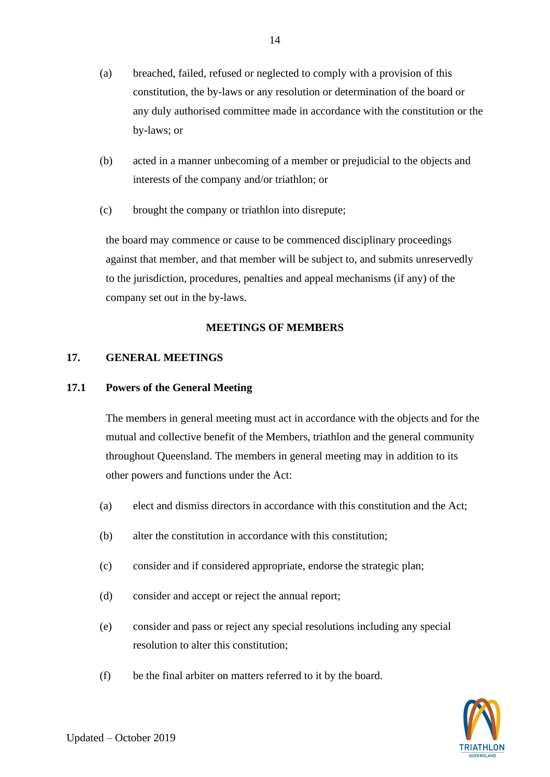- (a) breached, failed, refused or neglected to comply with a provision of this constitution, the by-laws or any resolution or determination of the board or any duly authorised committee made in accordance with the constitution or the by-laws; or
- (b) acted in a manner unbecoming of a member or prejudicial to the objects and interests of the company and/or triathlon; or
- (c) brought the company or triathlon into disrepute;

the board may commence or cause to be commenced disciplinary proceedings against that member, and that member will be subject to, and submits unreservedly to the jurisdiction, procedures, penalties and appeal mechanisms (if any) of the company set out in the by-laws.

# **MEETINGS OF MEMBERS**

# **17. GENERAL MEETINGS**

# **17.1 Powers of the General Meeting**

The members in general meeting must act in accordance with the objects and for the mutual and collective benefit of the Members, triathlon and the general community throughout Queensland. The members in general meeting may in addition to its other powers and functions under the Act:

- (a) elect and dismiss directors in accordance with this constitution and the Act;
- (b) alter the constitution in accordance with this constitution;
- (c) consider and if considered appropriate, endorse the strategic plan;
- (d) consider and accept or reject the annual report;
- (e) consider and pass or reject any special resolutions including any special resolution to alter this constitution;
- (f) be the final arbiter on matters referred to it by the board.

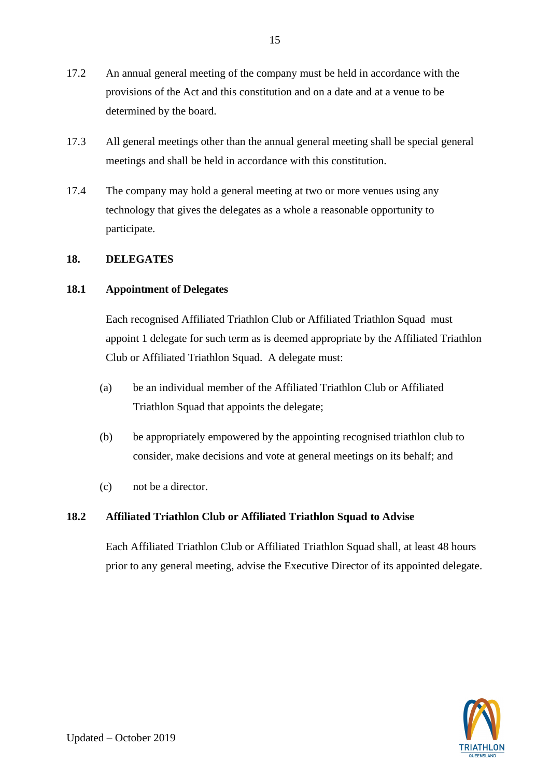- 17.2 An annual general meeting of the company must be held in accordance with the provisions of the Act and this constitution and on a date and at a venue to be determined by the board.
- 17.3 All general meetings other than the annual general meeting shall be special general meetings and shall be held in accordance with this constitution.
- 17.4 The company may hold a general meeting at two or more venues using any technology that gives the delegates as a whole a reasonable opportunity to participate.

## **18. DELEGATES**

## **18.1 Appointment of Delegates**

Each recognised Affiliated Triathlon Club or Affiliated Triathlon Squad must appoint 1 delegate for such term as is deemed appropriate by the Affiliated Triathlon Club or Affiliated Triathlon Squad. A delegate must:

- (a) be an individual member of the Affiliated Triathlon Club or Affiliated Triathlon Squad that appoints the delegate;
- (b) be appropriately empowered by the appointing recognised triathlon club to consider, make decisions and vote at general meetings on its behalf; and
- (c) not be a director.

## **18.2 Affiliated Triathlon Club or Affiliated Triathlon Squad to Advise**

Each Affiliated Triathlon Club or Affiliated Triathlon Squad shall, at least 48 hours prior to any general meeting, advise the Executive Director of its appointed delegate.

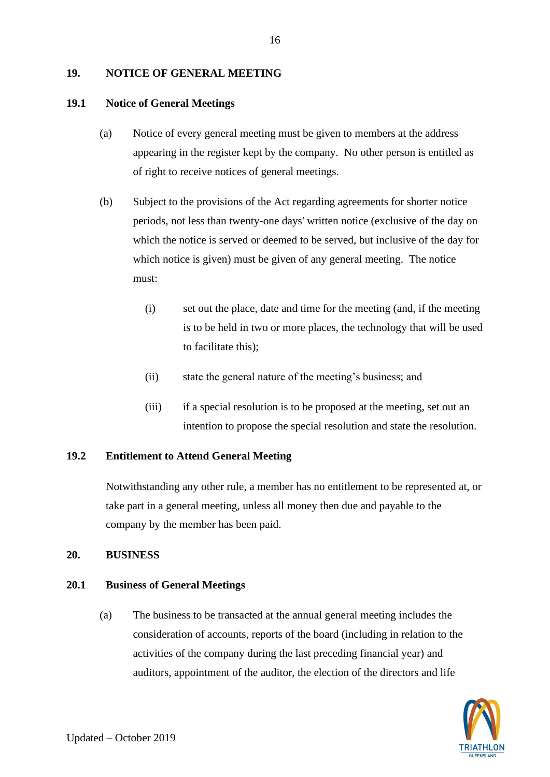## **19. NOTICE OF GENERAL MEETING**

## **19.1 Notice of General Meetings**

- (a) Notice of every general meeting must be given to members at the address appearing in the register kept by the company. No other person is entitled as of right to receive notices of general meetings.
- (b) Subject to the provisions of the Act regarding agreements for shorter notice periods, not less than twenty-one days' written notice (exclusive of the day on which the notice is served or deemed to be served, but inclusive of the day for which notice is given) must be given of any general meeting. The notice must:
	- (i) set out the place, date and time for the meeting (and, if the meeting is to be held in two or more places, the technology that will be used to facilitate this);
	- (ii) state the general nature of the meeting's business; and
	- (iii) if a special resolution is to be proposed at the meeting, set out an intention to propose the special resolution and state the resolution.

# **19.2 Entitlement to Attend General Meeting**

Notwithstanding any other rule, a member has no entitlement to be represented at, or take part in a general meeting, unless all money then due and payable to the company by the member has been paid.

# **20. BUSINESS**

# **20.1 Business of General Meetings**

(a) The business to be transacted at the annual general meeting includes the consideration of accounts, reports of the board (including in relation to the activities of the company during the last preceding financial year) and auditors, appointment of the auditor, the election of the directors and life

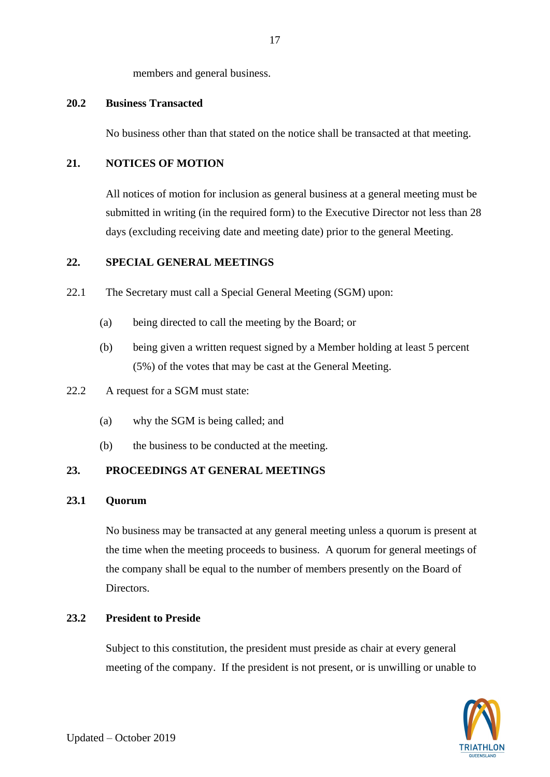members and general business.

## **20.2 Business Transacted**

No business other than that stated on the notice shall be transacted at that meeting.

## **21. NOTICES OF MOTION**

All notices of motion for inclusion as general business at a general meeting must be submitted in writing (in the required form) to the Executive Director not less than 28 days (excluding receiving date and meeting date) prior to the general Meeting.

# <span id="page-19-0"></span>**22. SPECIAL GENERAL MEETINGS**

- 22.1 The Secretary must call a Special General Meeting (SGM) upon:
	- (a) being directed to call the meeting by the Board; or
	- (b) being given a written request signed by a Member holding at least 5 percent (5%) of the votes that may be cast at the General Meeting.
- 22.2 A request for a SGM must state:
	- (a) why the SGM is being called; and
	- (b) the business to be conducted at the meeting.

## **23. PROCEEDINGS AT GENERAL MEETINGS**

## **23.1 Quorum**

No business may be transacted at any general meeting unless a quorum is present at the time when the meeting proceeds to business. A quorum for general meetings of the company shall be equal to the number of members presently on the Board of Directors.

## **23.2 President to Preside**

Subject to this constitution, the president must preside as chair at every general meeting of the company. If the president is not present, or is unwilling or unable to

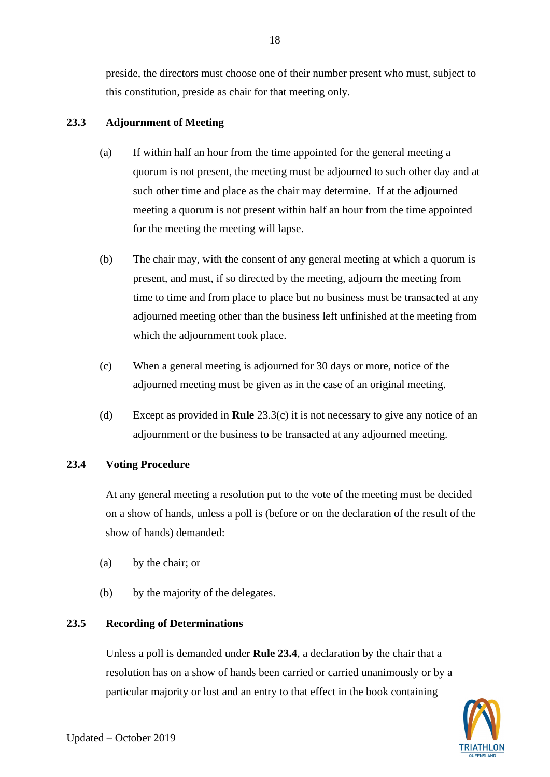preside, the directors must choose one of their number present who must, subject to this constitution, preside as chair for that meeting only.

# **23.3 Adjournment of Meeting**

- (a) If within half an hour from the time appointed for the general meeting a quorum is not present, the meeting must be adjourned to such other day and at such other time and place as the chair may determine. If at the adjourned meeting a quorum is not present within half an hour from the time appointed for the meeting the meeting will lapse.
- (b) The chair may, with the consent of any general meeting at which a quorum is present, and must, if so directed by the meeting, adjourn the meeting from time to time and from place to place but no business must be transacted at any adjourned meeting other than the business left unfinished at the meeting from which the adjournment took place.
- <span id="page-20-0"></span>(c) When a general meeting is adjourned for 30 days or more, notice of the adjourned meeting must be given as in the case of an original meeting.
- (d) Except as provided in **Rule** [23.3\(c\)](#page-20-0) it is not necessary to give any notice of an adjournment or the business to be transacted at any adjourned meeting.

# **23.4 Voting Procedure**

At any general meeting a resolution put to the vote of the meeting must be decided on a show of hands, unless a poll is (before or on the declaration of the result of the show of hands) demanded:

- (a) by the chair; or
- (b) by the majority of the delegates.

# **23.5 Recording of Determinations**

Unless a poll is demanded under **Rule 23.4**, a declaration by the chair that a resolution has on a show of hands been carried or carried unanimously or by a particular majority or lost and an entry to that effect in the book containing

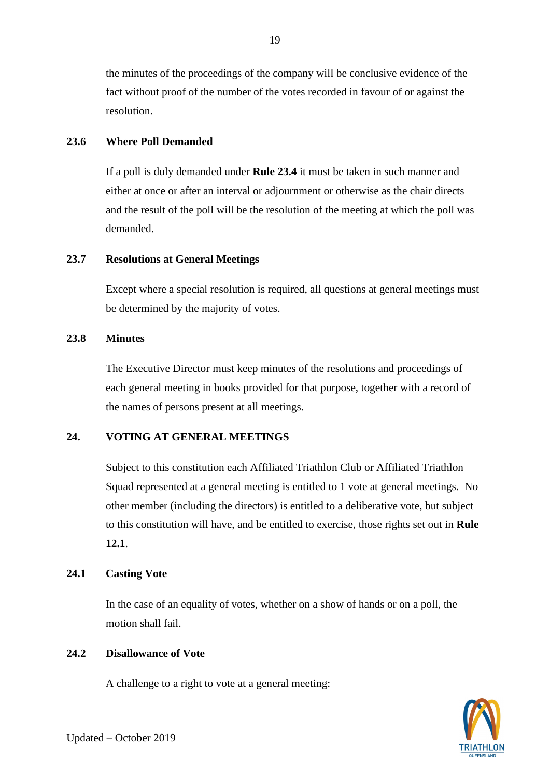the minutes of the proceedings of the company will be conclusive evidence of the fact without proof of the number of the votes recorded in favour of or against the resolution.

## **23.6 Where Poll Demanded**

If a poll is duly demanded under **Rule 23.4** it must be taken in such manner and either at once or after an interval or adjournment or otherwise as the chair directs and the result of the poll will be the resolution of the meeting at which the poll was demanded.

## **23.7 Resolutions at General Meetings**

Except where a special resolution is required, all questions at general meetings must be determined by the majority of votes.

## **23.8 Minutes**

The Executive Director must keep minutes of the resolutions and proceedings of each general meeting in books provided for that purpose, together with a record of the names of persons present at all meetings.

# **24. VOTING AT GENERAL MEETINGS**

Subject to this constitution each Affiliated Triathlon Club or Affiliated Triathlon Squad represented at a general meeting is entitled to 1 vote at general meetings. No other member (including the directors) is entitled to a deliberative vote, but subject to this constitution will have, and be entitled to exercise, those rights set out in **Rule 12.1**.

# **24.1 Casting Vote**

In the case of an equality of votes, whether on a show of hands or on a poll, the motion shall fail.

## **24.2 Disallowance of Vote**

A challenge to a right to vote at a general meeting:

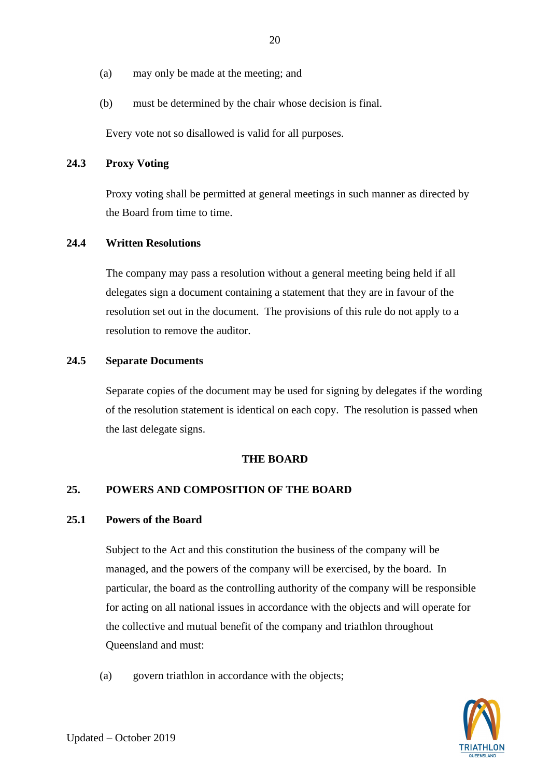- (a) may only be made at the meeting; and
- (b) must be determined by the chair whose decision is final.

Every vote not so disallowed is valid for all purposes.

## **24.3 Proxy Voting**

Proxy voting shall be permitted at general meetings in such manner as directed by the Board from time to time.

#### **24.4 Written Resolutions**

The company may pass a resolution without a general meeting being held if all delegates sign a document containing a statement that they are in favour of the resolution set out in the document. The provisions of this rule do not apply to a resolution to remove the auditor.

#### **24.5 Separate Documents**

Separate copies of the document may be used for signing by delegates if the wording of the resolution statement is identical on each copy. The resolution is passed when the last delegate signs.

#### **THE BOARD**

## **25. POWERS AND COMPOSITION OF THE BOARD**

## **25.1 Powers of the Board**

Subject to the Act and this constitution the business of the company will be managed, and the powers of the company will be exercised, by the board. In particular, the board as the controlling authority of the company will be responsible for acting on all national issues in accordance with the objects and will operate for the collective and mutual benefit of the company and triathlon throughout Queensland and must:

(a) govern triathlon in accordance with the objects;

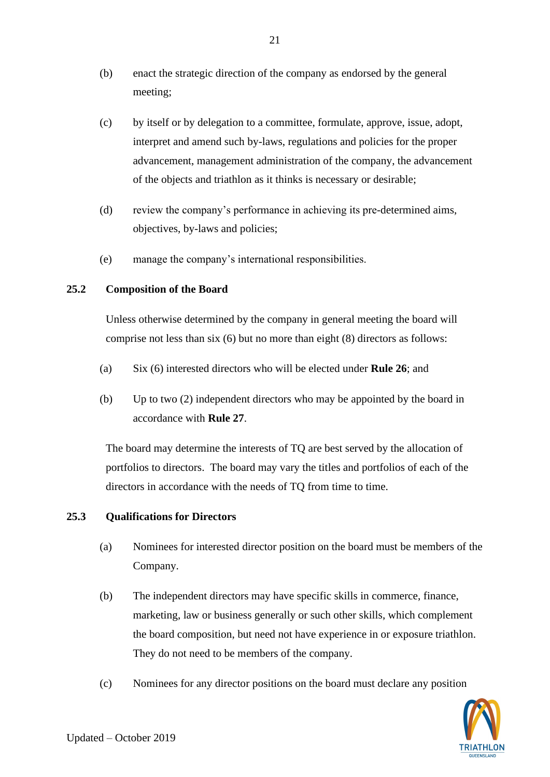- (b) enact the strategic direction of the company as endorsed by the general meeting;
- (c) by itself or by delegation to a committee, formulate, approve, issue, adopt, interpret and amend such by-laws, regulations and policies for the proper advancement, management administration of the company, the advancement of the objects and triathlon as it thinks is necessary or desirable;
- (d) review the company's performance in achieving its pre-determined aims, objectives, by-laws and policies;
- (e) manage the company's international responsibilities.

## <span id="page-23-0"></span>**25.2 Composition of the Board**

Unless otherwise determined by the company in general meeting the board will comprise not less than six (6) but no more than eight (8) directors as follows:

- (a) Six (6) interested directors who will be elected under **Rule 26**; and
- (b) Up to two (2) independent directors who may be appointed by the board in accordance with **Rule 27**.

The board may determine the interests of TQ are best served by the allocation of portfolios to directors. The board may vary the titles and portfolios of each of the directors in accordance with the needs of TQ from time to time.

# **25.3 Qualifications for Directors**

- (a) Nominees for interested director position on the board must be members of the Company.
- (b) The independent directors may have specific skills in commerce, finance, marketing, law or business generally or such other skills, which complement the board composition, but need not have experience in or exposure triathlon. They do not need to be members of the company.
- (c) Nominees for any director positions on the board must declare any position

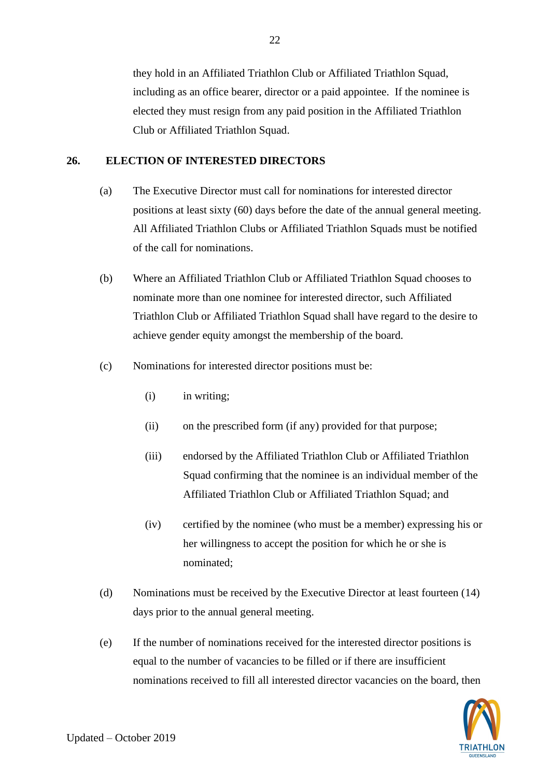they hold in an Affiliated Triathlon Club or Affiliated Triathlon Squad, including as an office bearer, director or a paid appointee. If the nominee is elected they must resign from any paid position in the Affiliated Triathlon Club or Affiliated Triathlon Squad.

## <span id="page-24-0"></span>**26. ELECTION OF INTERESTED DIRECTORS**

- (a) The Executive Director must call for nominations for interested director positions at least sixty (60) days before the date of the annual general meeting. All Affiliated Triathlon Clubs or Affiliated Triathlon Squads must be notified of the call for nominations.
- (b) Where an Affiliated Triathlon Club or Affiliated Triathlon Squad chooses to nominate more than one nominee for interested director, such Affiliated Triathlon Club or Affiliated Triathlon Squad shall have regard to the desire to achieve gender equity amongst the membership of the board.
- (c) Nominations for interested director positions must be:
	- (i) in writing;
	- (ii) on the prescribed form (if any) provided for that purpose;
	- (iii) endorsed by the Affiliated Triathlon Club or Affiliated Triathlon Squad confirming that the nominee is an individual member of the Affiliated Triathlon Club or Affiliated Triathlon Squad; and
	- (iv) certified by the nominee (who must be a member) expressing his or her willingness to accept the position for which he or she is nominated;
- (d) Nominations must be received by the Executive Director at least fourteen (14) days prior to the annual general meeting.
- (e) If the number of nominations received for the interested director positions is equal to the number of vacancies to be filled or if there are insufficient nominations received to fill all interested director vacancies on the board, then

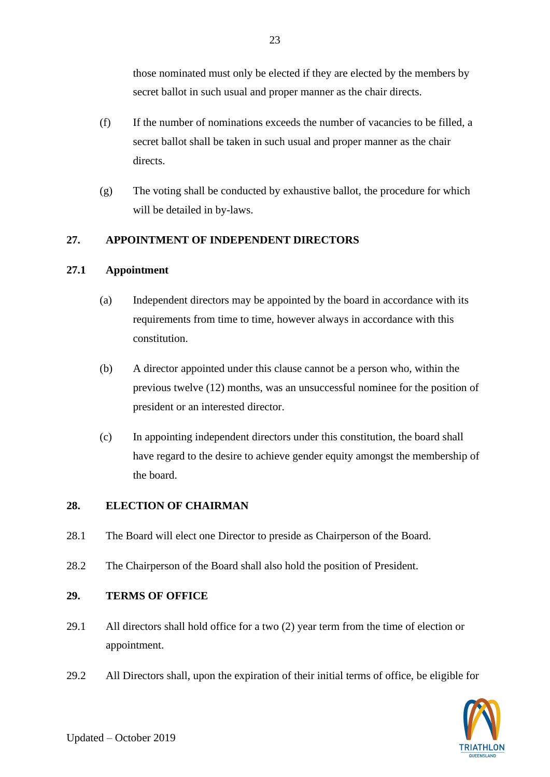those nominated must only be elected if they are elected by the members by secret ballot in such usual and proper manner as the chair directs.

- (f) If the number of nominations exceeds the number of vacancies to be filled, a secret ballot shall be taken in such usual and proper manner as the chair directs.
- (g) The voting shall be conducted by exhaustive ballot, the procedure for which will be detailed in by-laws.

# **27. APPOINTMENT OF INDEPENDENT DIRECTORS**

## **27.1 Appointment**

- (a) Independent directors may be appointed by the board in accordance with its requirements from time to time, however always in accordance with this constitution.
- (b) A director appointed under this clause cannot be a person who, within the previous twelve (12) months, was an unsuccessful nominee for the position of president or an interested director.
- (c) In appointing independent directors under this constitution, the board shall have regard to the desire to achieve gender equity amongst the membership of the board.

# <span id="page-25-0"></span>**28. ELECTION OF CHAIRMAN**

- 28.1 The Board will elect one Director to preside as Chairperson of the Board.
- 28.2 The Chairperson of the Board shall also hold the position of President.

# <span id="page-25-1"></span>**29. TERMS OF OFFICE**

- 29.1 All directors shall hold office for a two (2) year term from the time of election or appointment.
- 29.2 All Directors shall, upon the expiration of their initial terms of office, be eligible for

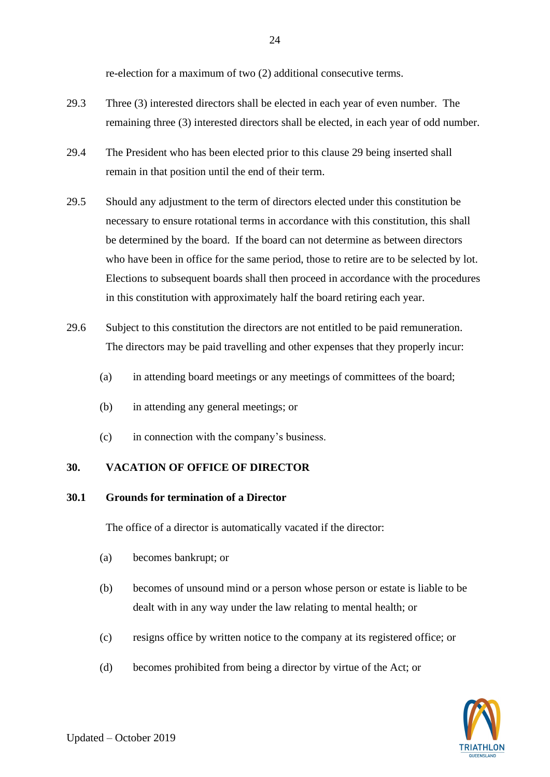re-election for a maximum of two (2) additional consecutive terms.

- 29.3 Three (3) interested directors shall be elected in each year of even number. The remaining three (3) interested directors shall be elected, in each year of odd number.
- 29.4 The President who has been elected prior to this clause [29](#page-25-1) being inserted shall remain in that position until the end of their term.
- 29.5 Should any adjustment to the term of directors elected under this constitution be necessary to ensure rotational terms in accordance with this constitution, this shall be determined by the board. If the board can not determine as between directors who have been in office for the same period, those to retire are to be selected by lot. Elections to subsequent boards shall then proceed in accordance with the procedures in this constitution with approximately half the board retiring each year.
- 29.6 Subject to this constitution the directors are not entitled to be paid remuneration. The directors may be paid travelling and other expenses that they properly incur:
	- (a) in attending board meetings or any meetings of committees of the board;
	- (b) in attending any general meetings; or
	- (c) in connection with the company's business.

## **30. VACATION OF OFFICE OF DIRECTOR**

## **30.1 Grounds for termination of a Director**

The office of a director is automatically vacated if the director:

- (a) becomes bankrupt; or
- (b) becomes of unsound mind or a person whose person or estate is liable to be dealt with in any way under the law relating to mental health; or
- (c) resigns office by written notice to the company at its registered office; or
- (d) becomes prohibited from being a director by virtue of the Act; or

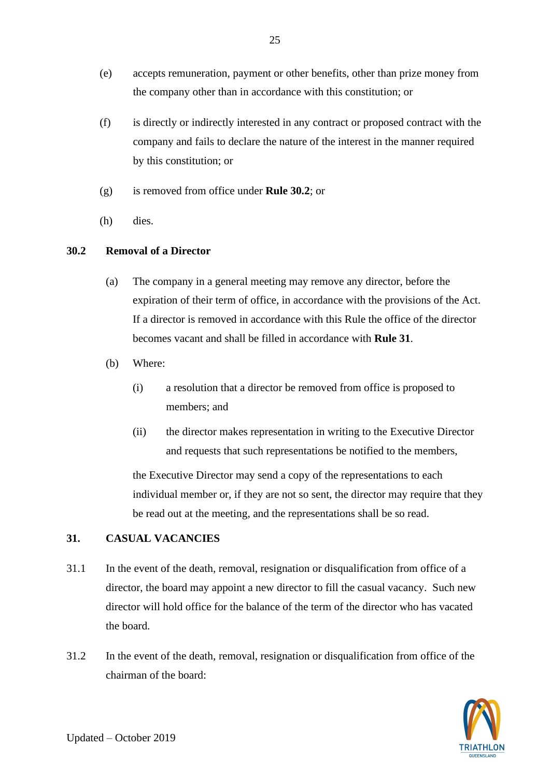- (e) accepts remuneration, payment or other benefits, other than prize money from the company other than in accordance with this constitution; or
- (f) is directly or indirectly interested in any contract or proposed contract with the company and fails to declare the nature of the interest in the manner required by this constitution; or
- (g) is removed from office under **Rule [30.2](#page-27-0)**; or
- (h) dies.

# <span id="page-27-0"></span>**30.2 Removal of a Director**

- (a) The company in a general meeting may remove any director, before the expiration of their term of office, in accordance with the provisions of the Act. If a director is removed in accordance with this Rule the office of the director becomes vacant and shall be filled in accordance with **Rule [31](#page-27-1)**.
- (b) Where:
	- (i) a resolution that a director be removed from office is proposed to members; and
	- (ii) the director makes representation in writing to the Executive Director and requests that such representations be notified to the members,

the Executive Director may send a copy of the representations to each individual member or, if they are not so sent, the director may require that they be read out at the meeting, and the representations shall be so read.

# <span id="page-27-1"></span>**31. CASUAL VACANCIES**

- 31.1 In the event of the death, removal, resignation or disqualification from office of a director, the board may appoint a new director to fill the casual vacancy. Such new director will hold office for the balance of the term of the director who has vacated the board.
- 31.2 In the event of the death, removal, resignation or disqualification from office of the chairman of the board:

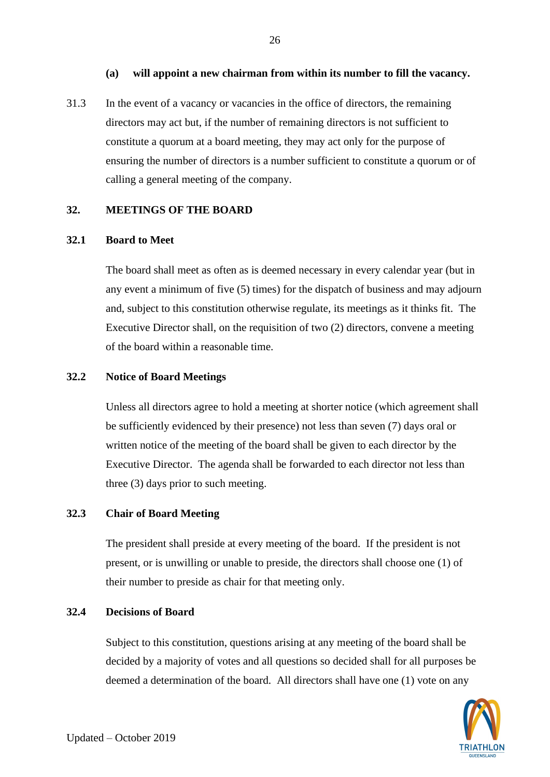## **(a) will appoint a new chairman from within its number to fill the vacancy.**

26

31.3 In the event of a vacancy or vacancies in the office of directors, the remaining directors may act but, if the number of remaining directors is not sufficient to constitute a quorum at a board meeting, they may act only for the purpose of ensuring the number of directors is a number sufficient to constitute a quorum or of calling a general meeting of the company.

#### <span id="page-28-0"></span>**32. MEETINGS OF THE BOARD**

#### **32.1 Board to Meet**

The board shall meet as often as is deemed necessary in every calendar year (but in any event a minimum of five (5) times) for the dispatch of business and may adjourn and, subject to this constitution otherwise regulate, its meetings as it thinks fit. The Executive Director shall, on the requisition of two (2) directors, convene a meeting of the board within a reasonable time.

#### **32.2 Notice of Board Meetings**

Unless all directors agree to hold a meeting at shorter notice (which agreement shall be sufficiently evidenced by their presence) not less than seven (7) days oral or written notice of the meeting of the board shall be given to each director by the Executive Director. The agenda shall be forwarded to each director not less than three (3) days prior to such meeting.

## **32.3 Chair of Board Meeting**

The president shall preside at every meeting of the board. If the president is not present, or is unwilling or unable to preside, the directors shall choose one (1) of their number to preside as chair for that meeting only.

#### **32.4 Decisions of Board**

Subject to this constitution, questions arising at any meeting of the board shall be decided by a majority of votes and all questions so decided shall for all purposes be deemed a determination of the board. All directors shall have one (1) vote on any

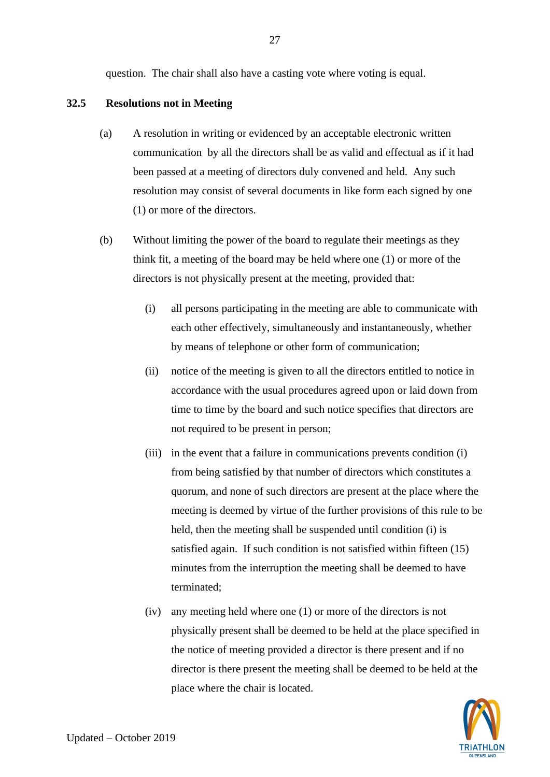question. The chair shall also have a casting vote where voting is equal.

## <span id="page-29-0"></span>**32.5 Resolutions not in Meeting**

- (a) A resolution in writing or evidenced by an acceptable electronic written communication by all the directors shall be as valid and effectual as if it had been passed at a meeting of directors duly convened and held. Any such resolution may consist of several documents in like form each signed by one (1) or more of the directors.
- (b) Without limiting the power of the board to regulate their meetings as they think fit, a meeting of the board may be held where one (1) or more of the directors is not physically present at the meeting, provided that:
	- (i) all persons participating in the meeting are able to communicate with each other effectively, simultaneously and instantaneously, whether by means of telephone or other form of communication;
	- (ii) notice of the meeting is given to all the directors entitled to notice in accordance with the usual procedures agreed upon or laid down from time to time by the board and such notice specifies that directors are not required to be present in person;
	- (iii) in the event that a failure in communications prevents condition (i) from being satisfied by that number of directors which constitutes a quorum, and none of such directors are present at the place where the meeting is deemed by virtue of the further provisions of this rule to be held, then the meeting shall be suspended until condition (i) is satisfied again. If such condition is not satisfied within fifteen (15) minutes from the interruption the meeting shall be deemed to have terminated;
	- (iv) any meeting held where one (1) or more of the directors is not physically present shall be deemed to be held at the place specified in the notice of meeting provided a director is there present and if no director is there present the meeting shall be deemed to be held at the place where the chair is located.

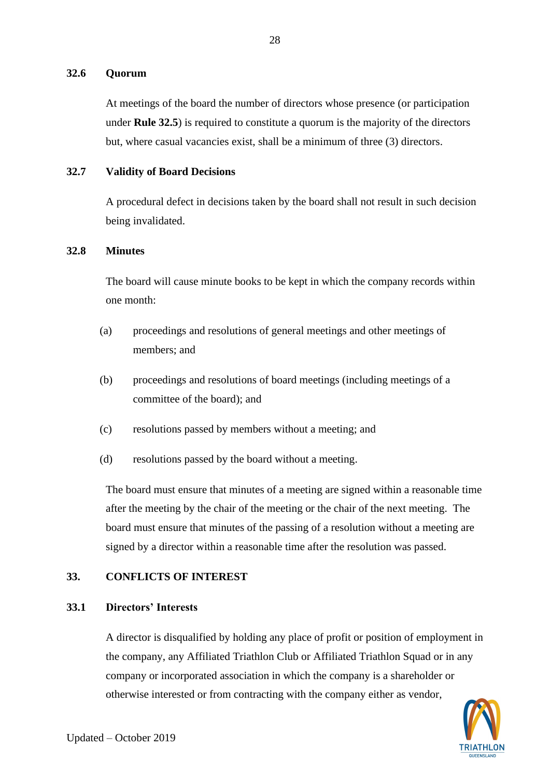## **32.6 Quorum**

At meetings of the board the number of directors whose presence (or participation under **Rule [32.5](#page-29-0)**) is required to constitute a quorum is the majority of the directors but, where casual vacancies exist, shall be a minimum of three (3) directors.

#### **32.7 Validity of Board Decisions**

A procedural defect in decisions taken by the board shall not result in such decision being invalidated.

## **32.8 Minutes**

The board will cause minute books to be kept in which the company records within one month:

- (a) proceedings and resolutions of general meetings and other meetings of members; and
- (b) proceedings and resolutions of board meetings (including meetings of a committee of the board); and
- (c) resolutions passed by members without a meeting; and
- (d) resolutions passed by the board without a meeting.

The board must ensure that minutes of a meeting are signed within a reasonable time after the meeting by the chair of the meeting or the chair of the next meeting. The board must ensure that minutes of the passing of a resolution without a meeting are signed by a director within a reasonable time after the resolution was passed.

## **33. CONFLICTS OF INTEREST**

#### **33.1 Directors' Interests**

A director is disqualified by holding any place of profit or position of employment in the company, any Affiliated Triathlon Club or Affiliated Triathlon Squad or in any company or incorporated association in which the company is a shareholder or otherwise interested or from contracting with the company either as vendor,

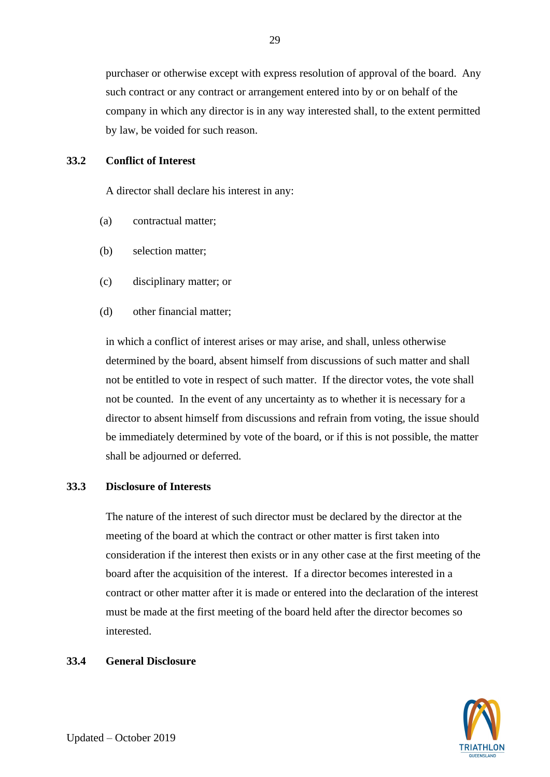purchaser or otherwise except with express resolution of approval of the board. Any such contract or any contract or arrangement entered into by or on behalf of the company in which any director is in any way interested shall, to the extent permitted by law, be voided for such reason.

#### **33.2 Conflict of Interest**

A director shall declare his interest in any:

- (a) contractual matter;
- (b) selection matter;
- (c) disciplinary matter; or
- (d) other financial matter;

in which a conflict of interest arises or may arise, and shall, unless otherwise determined by the board, absent himself from discussions of such matter and shall not be entitled to vote in respect of such matter. If the director votes, the vote shall not be counted. In the event of any uncertainty as to whether it is necessary for a director to absent himself from discussions and refrain from voting, the issue should be immediately determined by vote of the board, or if this is not possible, the matter shall be adjourned or deferred.

#### <span id="page-31-0"></span>**33.3 Disclosure of Interests**

The nature of the interest of such director must be declared by the director at the meeting of the board at which the contract or other matter is first taken into consideration if the interest then exists or in any other case at the first meeting of the board after the acquisition of the interest. If a director becomes interested in a contract or other matter after it is made or entered into the declaration of the interest must be made at the first meeting of the board held after the director becomes so interested.

#### <span id="page-31-1"></span>**33.4 General Disclosure**

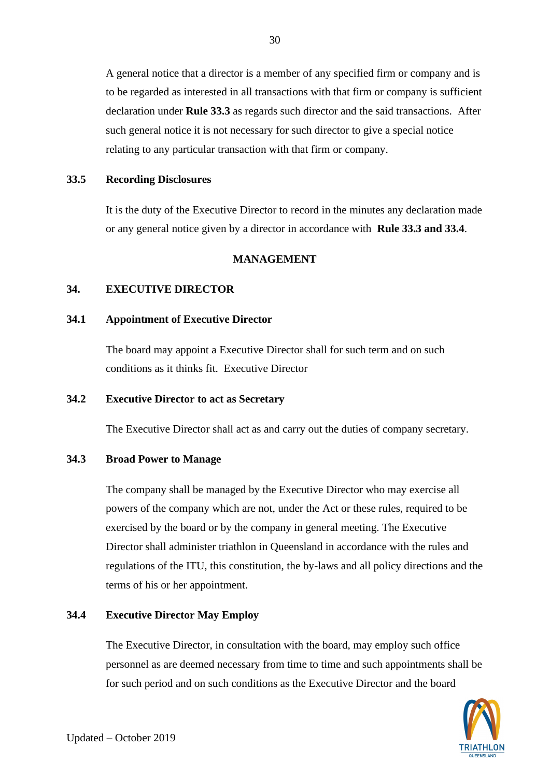A general notice that a director is a member of any specified firm or company and is to be regarded as interested in all transactions with that firm or company is sufficient declaration under **Rule [33.3](#page-31-0)** as regards such director and the said transactions. After such general notice it is not necessary for such director to give a special notice relating to any particular transaction with that firm or company.

#### **33.5 Recording Disclosures**

It is the duty of the Executive Director to record in the minutes any declaration made or any general notice given by a director in accordance with **Rule [33.3](#page-31-0) and [33.4](#page-31-1)**.

## **MANAGEMENT**

#### **34. EXECUTIVE DIRECTOR**

#### **34.1 Appointment of Executive Director**

The board may appoint a Executive Director shall for such term and on such conditions as it thinks fit. Executive Director

## **34.2 Executive Director to act as Secretary**

The Executive Director shall act as and carry out the duties of company secretary.

## **34.3 Broad Power to Manage**

The company shall be managed by the Executive Director who may exercise all powers of the company which are not, under the Act or these rules, required to be exercised by the board or by the company in general meeting. The Executive Director shall administer triathlon in Queensland in accordance with the rules and regulations of the ITU, this constitution, the by-laws and all policy directions and the terms of his or her appointment.

#### **34.4 Executive Director May Employ**

The Executive Director, in consultation with the board, may employ such office personnel as are deemed necessary from time to time and such appointments shall be for such period and on such conditions as the Executive Director and the board



30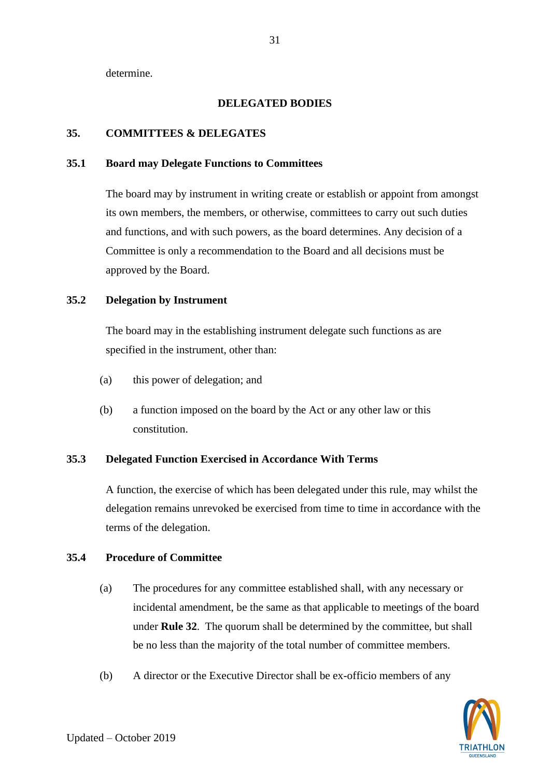determine.

## **DELEGATED BODIES**

## **35. COMMITTEES & DELEGATES**

## **35.1 Board may Delegate Functions to Committees**

The board may by instrument in writing create or establish or appoint from amongst its own members, the members, or otherwise, committees to carry out such duties and functions, and with such powers, as the board determines. Any decision of a Committee is only a recommendation to the Board and all decisions must be approved by the Board.

## **35.2 Delegation by Instrument**

The board may in the establishing instrument delegate such functions as are specified in the instrument, other than:

- (a) this power of delegation; and
- (b) a function imposed on the board by the Act or any other law or this constitution.

## **35.3 Delegated Function Exercised in Accordance With Terms**

A function, the exercise of which has been delegated under this rule, may whilst the delegation remains unrevoked be exercised from time to time in accordance with the terms of the delegation.

## **35.4 Procedure of Committee**

- (a) The procedures for any committee established shall, with any necessary or incidental amendment, be the same as that applicable to meetings of the board under **Rule [32](#page-28-0)**. The quorum shall be determined by the committee, but shall be no less than the majority of the total number of committee members.
- (b) A director or the Executive Director shall be ex-officio members of any

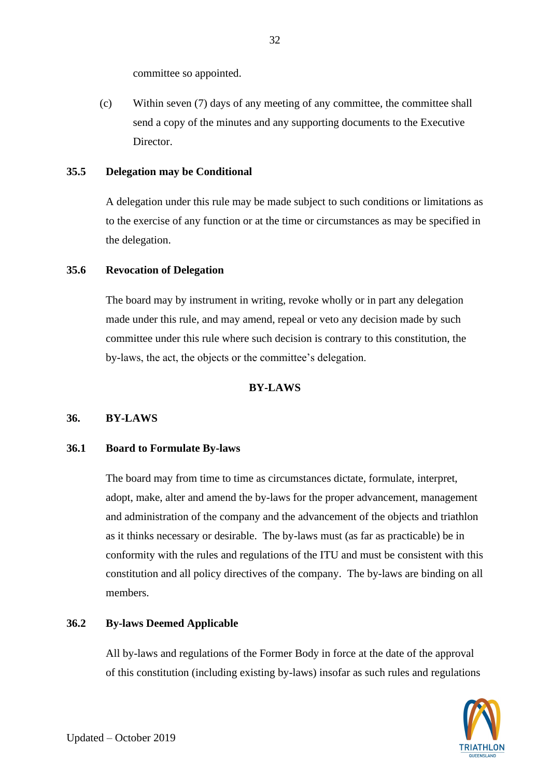committee so appointed.

(c) Within seven (7) days of any meeting of any committee, the committee shall send a copy of the minutes and any supporting documents to the Executive Director.

#### **35.5 Delegation may be Conditional**

A delegation under this rule may be made subject to such conditions or limitations as to the exercise of any function or at the time or circumstances as may be specified in the delegation.

## **35.6 Revocation of Delegation**

The board may by instrument in writing, revoke wholly or in part any delegation made under this rule, and may amend, repeal or veto any decision made by such committee under this rule where such decision is contrary to this constitution, the by-laws, the act, the objects or the committee's delegation.

#### **BY-LAWS**

#### <span id="page-34-0"></span>**36. BY-LAWS**

#### **36.1 Board to Formulate By-laws**

The board may from time to time as circumstances dictate, formulate, interpret, adopt, make, alter and amend the by-laws for the proper advancement, management and administration of the company and the advancement of the objects and triathlon as it thinks necessary or desirable. The by-laws must (as far as practicable) be in conformity with the rules and regulations of the ITU and must be consistent with this constitution and all policy directives of the company. The by-laws are binding on all members.

## **36.2 By-laws Deemed Applicable**

All by-laws and regulations of the Former Body in force at the date of the approval of this constitution (including existing by-laws) insofar as such rules and regulations



32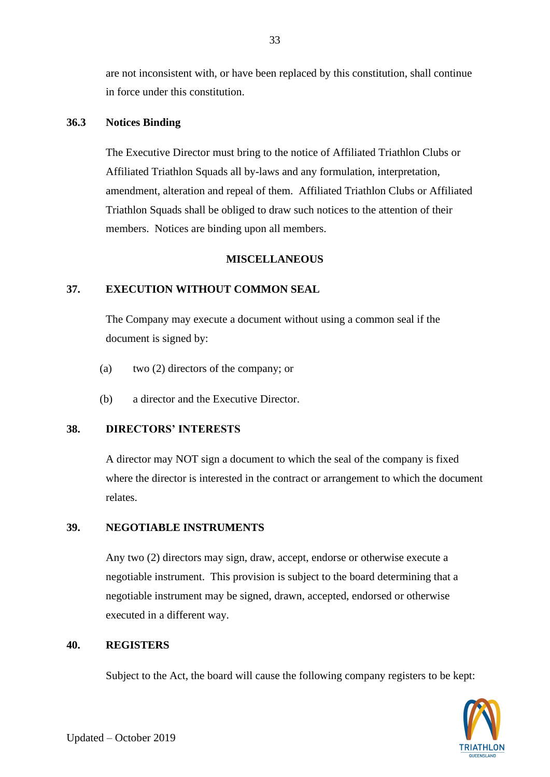are not inconsistent with, or have been replaced by this constitution, shall continue in force under this constitution.

## **36.3 Notices Binding**

The Executive Director must bring to the notice of Affiliated Triathlon Clubs or Affiliated Triathlon Squads all by-laws and any formulation, interpretation, amendment, alteration and repeal of them. Affiliated Triathlon Clubs or Affiliated Triathlon Squads shall be obliged to draw such notices to the attention of their members. Notices are binding upon all members.

## **MISCELLANEOUS**

# **37. EXECUTION WITHOUT COMMON SEAL**

The Company may execute a document without using a common seal if the document is signed by:

- (a) two (2) directors of the company; or
- (b) a director and the Executive Director.

# **38. DIRECTORS' INTERESTS**

A director may NOT sign a document to which the seal of the company is fixed where the director is interested in the contract or arrangement to which the document relates.

## **39. NEGOTIABLE INSTRUMENTS**

Any two (2) directors may sign, draw, accept, endorse or otherwise execute a negotiable instrument. This provision is subject to the board determining that a negotiable instrument may be signed, drawn, accepted, endorsed or otherwise executed in a different way.

## **40. REGISTERS**

Subject to the Act, the board will cause the following company registers to be kept:

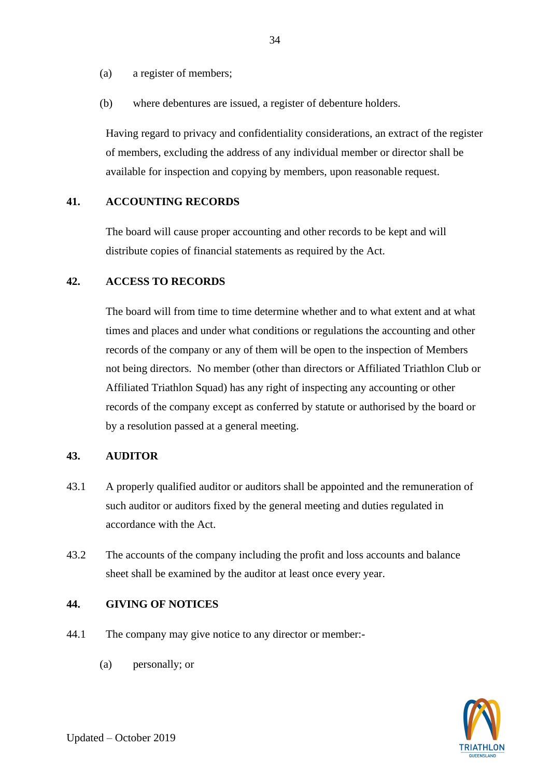(a) a register of members;

(b) where debentures are issued, a register of debenture holders.

Having regard to privacy and confidentiality considerations, an extract of the register of members, excluding the address of any individual member or director shall be available for inspection and copying by members, upon reasonable request.

## **41. ACCOUNTING RECORDS**

The board will cause proper accounting and other records to be kept and will distribute copies of financial statements as required by the Act.

## **42. ACCESS TO RECORDS**

The board will from time to time determine whether and to what extent and at what times and places and under what conditions or regulations the accounting and other records of the company or any of them will be open to the inspection of Members not being directors. No member (other than directors or Affiliated Triathlon Club or Affiliated Triathlon Squad) has any right of inspecting any accounting or other records of the company except as conferred by statute or authorised by the board or by a resolution passed at a general meeting.

#### **43. AUDITOR**

- 43.1 A properly qualified auditor or auditors shall be appointed and the remuneration of such auditor or auditors fixed by the general meeting and duties regulated in accordance with the Act.
- 43.2 The accounts of the company including the profit and loss accounts and balance sheet shall be examined by the auditor at least once every year.

## **44. GIVING OF NOTICES**

- 44.1 The company may give notice to any director or member:-
	- (a) personally; or

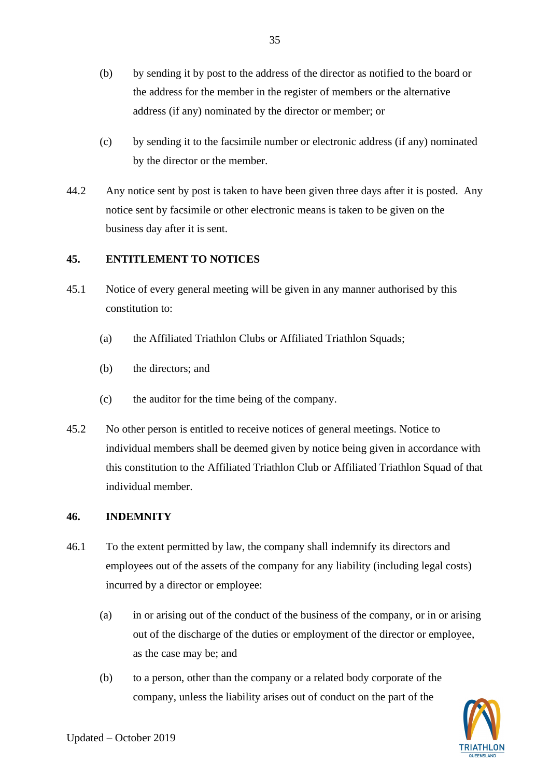- (b) by sending it by post to the address of the director as notified to the board or the address for the member in the register of members or the alternative address (if any) nominated by the director or member; or
- (c) by sending it to the facsimile number or electronic address (if any) nominated by the director or the member.
- 44.2 Any notice sent by post is taken to have been given three days after it is posted. Any notice sent by facsimile or other electronic means is taken to be given on the business day after it is sent.

# **45. ENTITLEMENT TO NOTICES**

- 45.1 Notice of every general meeting will be given in any manner authorised by this constitution to:
	- (a) the Affiliated Triathlon Clubs or Affiliated Triathlon Squads;
	- (b) the directors; and
	- (c) the auditor for the time being of the company.
- 45.2 No other person is entitled to receive notices of general meetings. Notice to individual members shall be deemed given by notice being given in accordance with this constitution to the Affiliated Triathlon Club or Affiliated Triathlon Squad of that individual member.

# **46. INDEMNITY**

- 46.1 To the extent permitted by law, the company shall indemnify its directors and employees out of the assets of the company for any liability (including legal costs) incurred by a director or employee:
	- (a) in or arising out of the conduct of the business of the company, or in or arising out of the discharge of the duties or employment of the director or employee, as the case may be; and
	- (b) to a person, other than the company or a related body corporate of the company, unless the liability arises out of conduct on the part of the